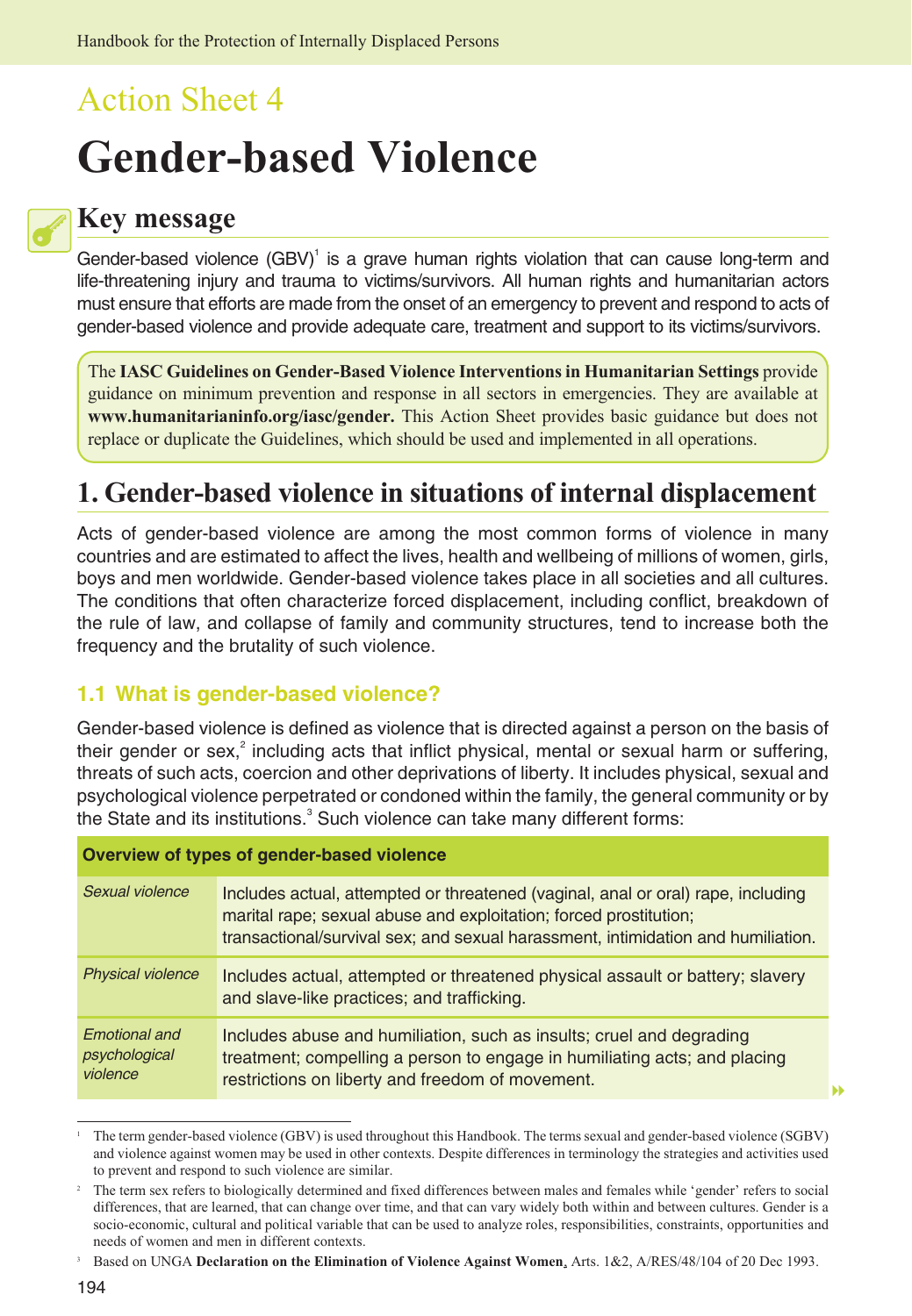# Action Sheet 4 **Gender-based Violence**

## **Key message**

Gender-based violence (GBV)<sup>1</sup> is a grave human rights violation that can cause long-term and life-threatening injury and trauma to victims/survivors. All human rights and humanitarian actors must ensure that efforts are made from the onset of an emergency to prevent and respond to acts of gender-based violence and provide adequate care, treatment and support to its victims/survivors.

The **IASC Guidelines on Gender-Based Violence Interventions in Humanitarian Settings** provide guidance on minimum prevention and response in all sectors in emergencies. They are available at **[www.humanitarianinfo.org/iasc/gender.](http://www.humanitarianinfo.org/iasc/gender)** This Action Sheet provides basic guidance but does not replace or duplicate the Guidelines, which should be used and implemented in all operations.

# **1. Gender-based violence in situations of internal displacement**

Acts of gender-based violence are among the most common forms of violence in many countries and are estimated to affect the lives, health and wellbeing of millions of women, girls, boys and men worldwide. Gender-based violence takes place in all societies and all cultures. The conditions that often characterize forced displacement, including conflict, breakdown of the rule of law, and collapse of family and community structures, tend to increase both the frequency and the brutality of such violence.

#### **1.1 What is gender-based violence?**

Gender-based violence is defined as violence that is directed against a person on the basis of their gender or sex,<sup>2</sup> including acts that inflict physical, mental or sexual harm or suffering, threats of such acts, coercion and other deprivations of liberty. It includes physical, sexual and psychological violence perpetrated or condoned within the family, the general community or by the State and its institutions.<sup>3</sup> Such violence can take many different forms:

| Overview of types of gender-based violence        |                                                                                                                                                                                                                                           |
|---------------------------------------------------|-------------------------------------------------------------------------------------------------------------------------------------------------------------------------------------------------------------------------------------------|
| Sexual violence                                   | Includes actual, attempted or threatened (vaginal, anal or oral) rape, including<br>marital rape; sexual abuse and exploitation; forced prostitution;<br>transactional/survival sex; and sexual harassment, intimidation and humiliation. |
| <b>Physical violence</b>                          | Includes actual, attempted or threatened physical assault or battery; slavery<br>and slave-like practices; and trafficking.                                                                                                               |
| <b>Emotional and</b><br>psychological<br>violence | Includes abuse and humiliation, such as insults; cruel and degrading<br>treatment; compelling a person to engage in humiliating acts; and placing<br>restrictions on liberty and freedom of movement.                                     |

<sup>1</sup> The term gender-based violence (GBV) is used throughout this Handbook. The terms sexual and gender-based violence (SGBV) and violence against women may be used in other contexts. Despite differences in terminology the strategies and activities used to prevent and respond to such violence are similar.

-

<sup>2</sup> The term sex refers to biologically determined and fixed differences between males and females while 'gender' refers to social differences, that are learned, that can change over time, and that can vary widely both within and between cultures. Gender is a socio-economic, cultural and political variable that can be used to analyze roles, responsibilities, constraints, opportunities and needs of women and men in different contexts.

<sup>3</sup> Based on UNGA **Declaration on the Elimination of Violence Against Women**, Arts. 1&2, A/RES/48/104 of 20 Dec 1993.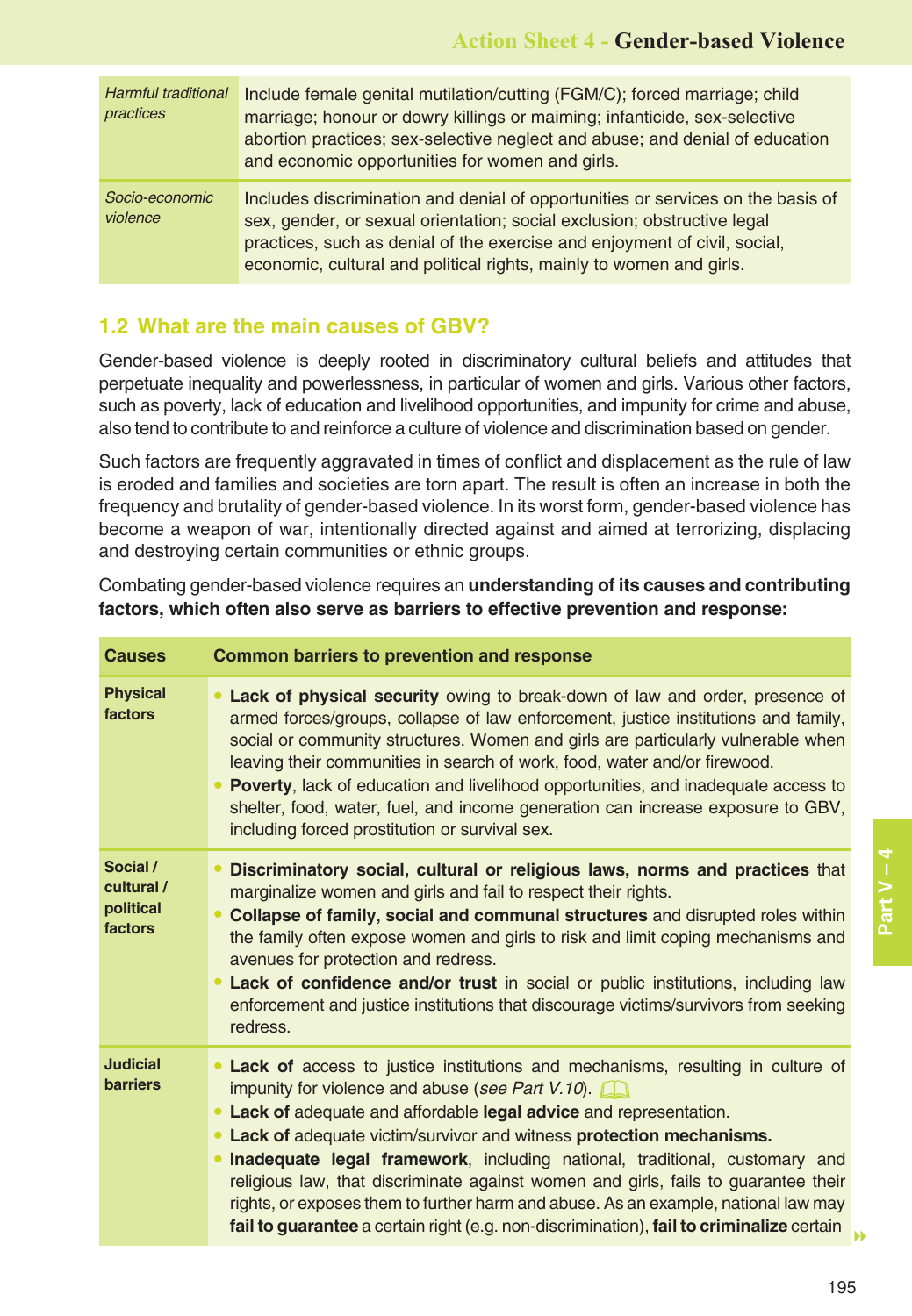| <b>Harmful traditional</b><br>practices | Include female genital mutilation/cutting (FGM/C); forced marriage; child<br>marriage; honour or dowry killings or maiming; infanticide, sex-selective<br>abortion practices; sex-selective neglect and abuse; and denial of education<br>and economic opportunities for women and girls.                      |
|-----------------------------------------|----------------------------------------------------------------------------------------------------------------------------------------------------------------------------------------------------------------------------------------------------------------------------------------------------------------|
| Socio-economic<br>violence              | Includes discrimination and denial of opportunities or services on the basis of<br>sex, gender, or sexual orientation; social exclusion; obstructive legal<br>practices, such as denial of the exercise and enjoyment of civil, social,<br>economic, cultural and political rights, mainly to women and girls. |

#### **1.2 What are the main causes of GBV?**

Gender-based violence is deeply rooted in discriminatory cultural beliefs and attitudes that perpetuate inequality and powerlessness, in particular of women and girls. Various other factors, such as poverty, lack of education and livelihood opportunities, and impunity for crime and abuse, also tend to contribute to and reinforce a culture of violence and discrimination based on gender.

Such factors are frequently aggravated in times of conflict and displacement as the rule of law is eroded and families and societies are torn apart. The result is often an increase in both the frequency and brutality of gender-based violence. In its worst form, gender-based violence has become a weapon of war, intentionally directed against and aimed at terrorizing, displacing and destroying certain communities or ethnic groups.

Combating gender-based violence requires an **understanding of its causes and contributing factors, which often also serve as barriers to effective prevention and response:**

| <b>Causes</b>                                  | <b>Common barriers to prevention and response</b>                                                                                                                                                                                                                                                                                                                                                                                                                                                                                                                                                                                          |
|------------------------------------------------|--------------------------------------------------------------------------------------------------------------------------------------------------------------------------------------------------------------------------------------------------------------------------------------------------------------------------------------------------------------------------------------------------------------------------------------------------------------------------------------------------------------------------------------------------------------------------------------------------------------------------------------------|
| <b>Physical</b><br>factors                     | Lack of physical security owing to break-down of law and order, presence of<br>armed forces/groups, collapse of law enforcement, justice institutions and family,<br>social or community structures. Women and girls are particularly vulnerable when<br>leaving their communities in search of work, food, water and/or firewood.<br>Poverty, lack of education and livelihood opportunities, and inadequate access to<br>shelter, food, water, fuel, and income generation can increase exposure to GBV,<br>including forced prostitution or survival sex.                                                                               |
| Social /<br>cultural /<br>political<br>factors | Discriminatory social, cultural or religious laws, norms and practices that<br>marginalize women and girls and fail to respect their rights.<br>Collapse of family, social and communal structures and disrupted roles within<br>the family often expose women and girls to risk and limit coping mechanisms and<br>avenues for protection and redress.<br>Lack of confidence and/or trust in social or public institutions, including law<br>enforcement and justice institutions that discourage victims/survivors from seeking<br>redress.                                                                                              |
| <b>Judicial</b><br><b>barriers</b>             | Lack of access to justice institutions and mechanisms, resulting in culture of<br>impunity for violence and abuse (see Part $V.10$ ).<br>• Lack of adequate and affordable legal advice and representation.<br>• Lack of adequate victim/survivor and witness protection mechanisms.<br>Inadequate legal framework, including national, traditional, customary and<br>religious law, that discriminate against women and girls, fails to guarantee their<br>rights, or exposes them to further harm and abuse. As an example, national law may<br>fail to guarantee a certain right (e.g. non-discrimination), fail to criminalize certain |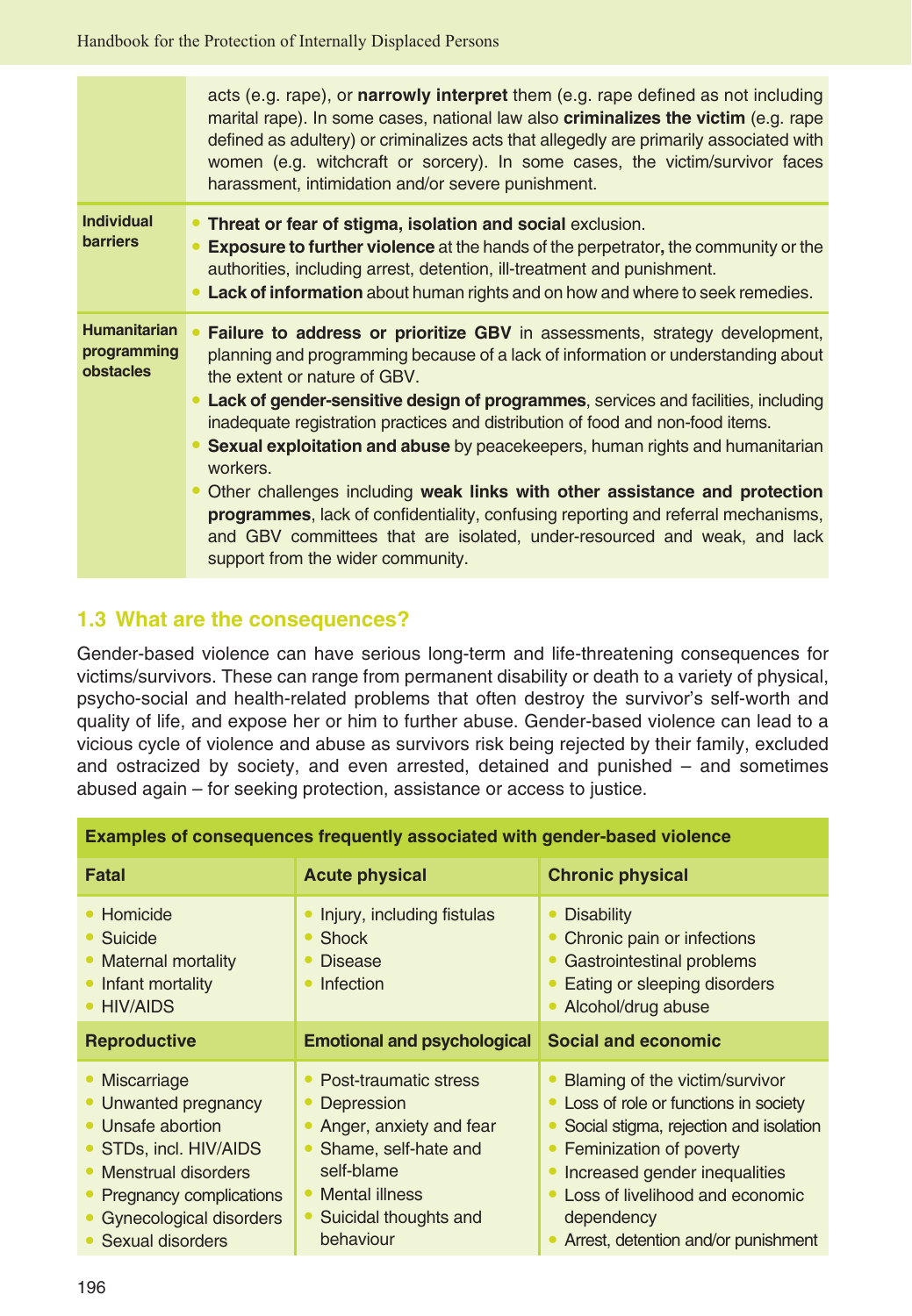|                                                        | acts (e.g. rape), or narrowly interpret them (e.g. rape defined as not including<br>marital rape). In some cases, national law also <b>criminalizes the victim</b> (e.g. rape<br>defined as adultery) or criminalizes acts that allegedly are primarily associated with<br>women (e.g. witchcraft or sorcery). In some cases, the victim/survivor faces<br>harassment, intimidation and/or severe punishment.                                                                                                                                                                                                                                                                                                                                                       |
|--------------------------------------------------------|---------------------------------------------------------------------------------------------------------------------------------------------------------------------------------------------------------------------------------------------------------------------------------------------------------------------------------------------------------------------------------------------------------------------------------------------------------------------------------------------------------------------------------------------------------------------------------------------------------------------------------------------------------------------------------------------------------------------------------------------------------------------|
| <b>Individual</b><br><b>barriers</b>                   | • Threat or fear of stigma, isolation and social exclusion.<br><b>Exposure to further violence</b> at the hands of the perpetrator, the community or the<br>authorities, including arrest, detention, ill-treatment and punishment.<br>• Lack of information about human rights and on how and where to seek remedies.                                                                                                                                                                                                                                                                                                                                                                                                                                              |
| <b>Humanitarian</b><br>programming<br><b>obstacles</b> | Failure to address or prioritize GBV in assessments, strategy development,<br>planning and programming because of a lack of information or understanding about<br>the extent or nature of GBV.<br>• Lack of gender-sensitive design of programmes, services and facilities, including<br>inadequate registration practices and distribution of food and non-food items.<br>• Sexual exploitation and abuse by peacekeepers, human rights and humanitarian<br>workers.<br>• Other challenges including weak links with other assistance and protection<br><b>programmes</b> , lack of confidentiality, confusing reporting and referral mechanisms,<br>and GBV committees that are isolated, under-resourced and weak, and lack<br>support from the wider community. |

#### **1.3 What are the consequences?**

Gender-based violence can have serious long-term and life-threatening consequences for victims/survivors. These can range from permanent disability or death to a variety of physical, psycho-social and health-related problems that often destroy the survivor's self-worth and quality of life, and expose her or him to further abuse. Gender-based violence can lead to a vicious cycle of violence and abuse as survivors risk being rejected by their family, excluded and ostracized by society, and even arrested, detained and punished – and sometimes abused again – for seeking protection, assistance or access to justice.

| <b>Examples of consequences frequently associated with gender-based violence</b>                                                                                                              |                                                                                                                                                                          |                                                                                                                                                                                                                                                                                |
|-----------------------------------------------------------------------------------------------------------------------------------------------------------------------------------------------|--------------------------------------------------------------------------------------------------------------------------------------------------------------------------|--------------------------------------------------------------------------------------------------------------------------------------------------------------------------------------------------------------------------------------------------------------------------------|
| Fatal                                                                                                                                                                                         | <b>Acute physical</b>                                                                                                                                                    | <b>Chronic physical</b>                                                                                                                                                                                                                                                        |
| • Homicide<br>• Suicide<br>• Maternal mortality<br>• Infant mortality<br>• HIV/AIDS                                                                                                           | • Injury, including fistulas<br>$\bullet$ Shock<br>• Disease<br>• Infection                                                                                              | <b>Disability</b><br>Chronic pain or infections<br>Gastrointestinal problems<br>Eating or sleeping disorders<br>Alcohol/drug abuse                                                                                                                                             |
| <b>Reproductive</b>                                                                                                                                                                           | <b>Emotional and psychological</b>                                                                                                                                       | <b>Social and economic</b>                                                                                                                                                                                                                                                     |
| • Miscarriage<br>• Unwanted pregnancy<br>• Unsafe abortion<br>• STDs, incl. HIV/AIDS<br>• Menstrual disorders<br>• Pregnancy complications<br>• Gynecological disorders<br>• Sexual disorders | • Post-traumatic stress<br>• Depression<br>• Anger, anxiety and fear<br>• Shame, self-hate and<br>self-blame<br>• Mental illness<br>• Suicidal thoughts and<br>behaviour | Blaming of the victim/survivor<br>• Loss of role or functions in society<br>Social stigma, rejection and isolation<br>• Feminization of poverty<br>• Increased gender inequalities<br>• Loss of livelihood and economic<br>dependency<br>• Arrest, detention and/or punishment |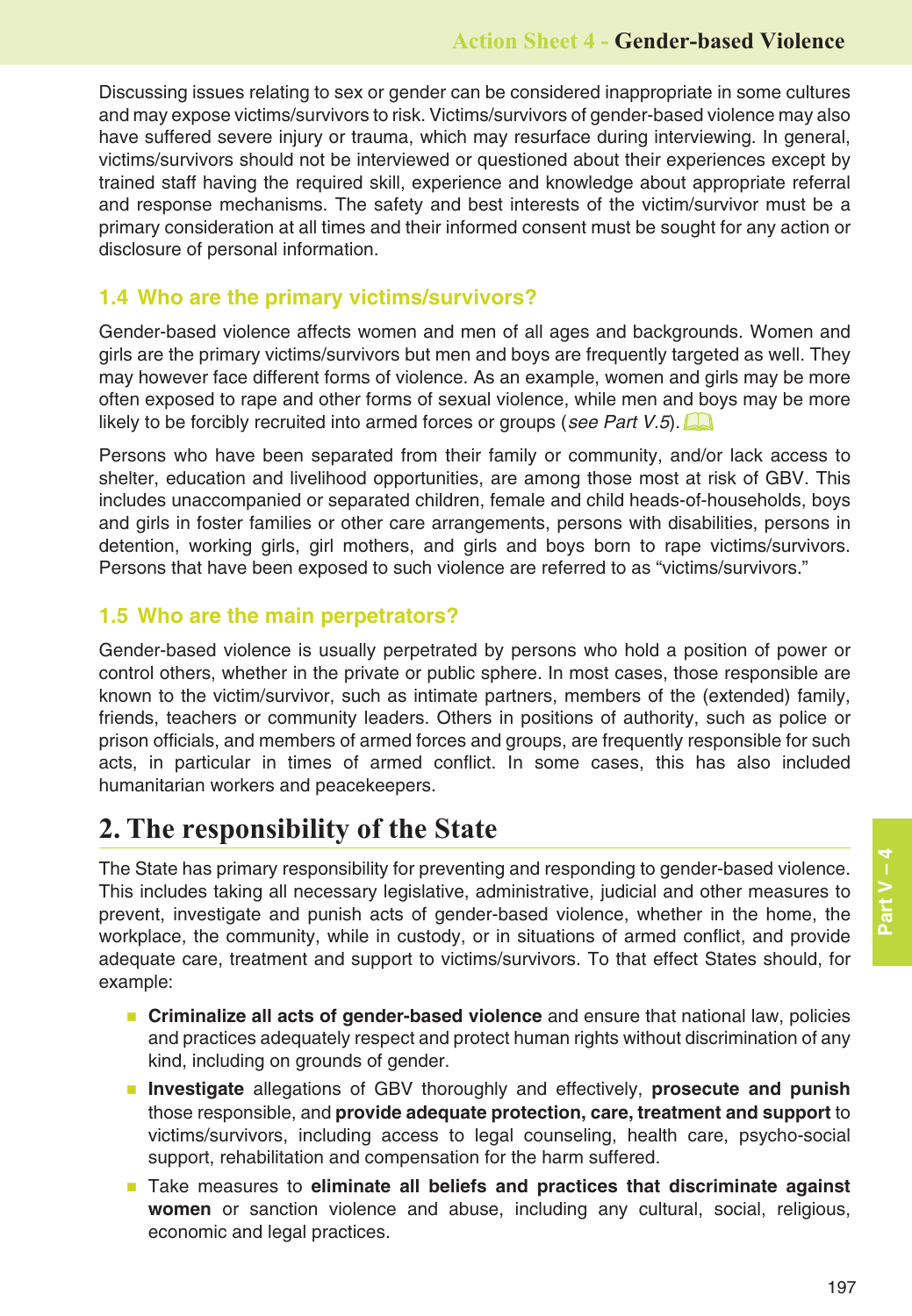Discussing issues relating to sex or gender can be considered inappropriate in some cultures and may expose victims/survivors to risk. Victims/survivors of gender-based violence may also have suffered severe injury or trauma, which may resurface during interviewing. In general, victims/survivors should not be interviewed or questioned about their experiences except by trained staff having the required skill, experience and knowledge about appropriate referral and response mechanisms. The safety and best interests of the victim/survivor must be a primary consideration at all times and their informed consent must be sought for any action or disclosure of personal information.

#### **1.4 Who are the primary victims/survivors?**

Gender-based violence affects women and men of all ages and backgrounds. Women and girls are the primary victims/survivors but men and boys are frequently targeted as well. They may however face different forms of violence. As an example, women and girls may be more often exposed to rape and other forms of sexual violence, while men and boys may be more likely to be forcibly recruited into armed forces or groups (see Part V.5).

Persons who have been separated from their family or community, and/or lack access to shelter, education and livelihood opportunities, are among those most at risk of GBV. This includes unaccompanied or separated children, female and child heads-of-households, boys and girls in foster families or other care arrangements, persons with disabilities, persons in detention, working girls, girl mothers, and girls and boys born to rape victims/survivors. Persons that have been exposed to such violence are referred to as "victims/survivors."

#### **1.5 Who are the main perpetrators?**

Gender-based violence is usually perpetrated by persons who hold a position of power or control others, whether in the private or public sphere. In most cases, those responsible are known to the victim/survivor, such as intimate partners, members of the (extended) family, friends, teachers or community leaders. Others in positions of authority, such as police or prison officials, and members of armed forces and groups, are frequently responsible for such acts, in particular in times of armed conflict. In some cases, this has also included humanitarian workers and peacekeepers.

## **2. The responsibility of the State**

The State has primary responsibility for preventing and responding to gender-based violence. This includes taking all necessary legislative, administrative, judicial and other measures to prevent, investigate and punish acts of gender-based violence, whether in the home, the workplace, the community, while in custody, or in situations of armed conflict, and provide adequate care, treatment and support to victims/survivors. To that effect States should, for example:

- **Criminalize all acts of gender-based violence** and ensure that national law, policies and practices adequately respect and protect human rights without discrimination of any kind, including on grounds of gender.
- **Investigate** allegations of GBV thoroughly and effectively, prosecute and punish those responsible, and **provide adequate protection, care, treatment and support** to victims/survivors, including access to legal counseling, health care, psycho-social support, rehabilitation and compensation for the harm suffered.
- **Take measures to eliminate all beliefs and practices that discriminate against women** or sanction violence and abuse, including any cultural, social, religious, economic and legal practices.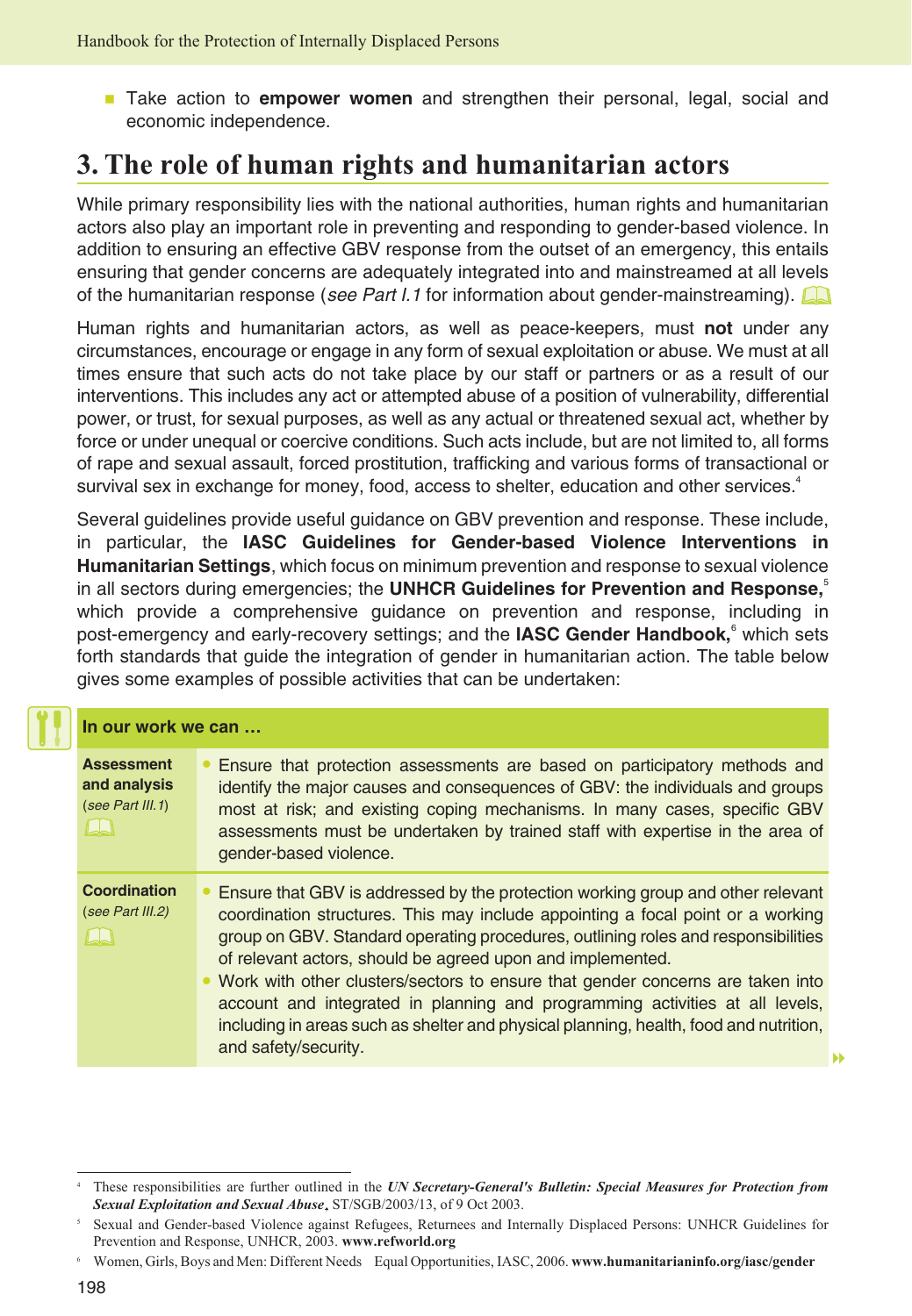**Take action to empower women** and strengthen their personal, legal, social and economic independence.

# **3. The role of human rights and humanitarian actors**

While primary responsibility lies with the national authorities, human rights and humanitarian actors also play an important role in preventing and responding to gender-based violence. In addition to ensuring an effective GBV response from the outset of an emergency, this entails ensuring that gender concerns are adequately integrated into and mainstreamed at all levels of the humanitarian response (see Part I.1 for information about gender-mainstreaming).

Human rights and humanitarian actors, as well as peace-keepers, must **not** under any circumstances, encourage or engage in any form of sexual exploitation or abuse. We must at all times ensure that such acts do not take place by our staff or partners or as a result of our interventions. This includes any act or attempted abuse of a position of vulnerability, differential power, or trust, for sexual purposes, as well as any actual or threatened sexual act, whether by force or under unequal or coercive conditions. Such acts include, but are not limited to, all forms of rape and sexual assault, forced prostitution, trafficking and various forms of transactional or survival sex in exchange for money, food, access to shelter, education and other services.<sup>4</sup>

Several guidelines provide useful guidance on GBV prevention and response. These include, in particular, the **IASC Guidelines for Gender-based Violence Interventions in Humanitarian Settings**, which focus on minimum prevention and response to sexual violence in all sectors during emergencies; the **UNHCR Guidelines for Prevention and Response**,<sup>5</sup> which provide a comprehensive guidance on prevention and response, including in post-emergency and early-recovery settings; and the IASC Gender Handbook,<sup>6</sup> which sets forth standards that guide the integration of gender in humanitarian action. The table below gives some examples of possible activities that can be undertaken:

| In our work we can                                    |                                                                                                                                                                                                                                                                                                                                                                                                                                                                                                                                                                                                              |
|-------------------------------------------------------|--------------------------------------------------------------------------------------------------------------------------------------------------------------------------------------------------------------------------------------------------------------------------------------------------------------------------------------------------------------------------------------------------------------------------------------------------------------------------------------------------------------------------------------------------------------------------------------------------------------|
| <b>Assessment</b><br>and analysis<br>(see Part III.1) | • Ensure that protection assessments are based on participatory methods and<br>identify the major causes and consequences of GBV: the individuals and groups<br>most at risk; and existing coping mechanisms. In many cases, specific GBV<br>assessments must be undertaken by trained staff with expertise in the area of<br>gender-based violence.                                                                                                                                                                                                                                                         |
| Coordination<br>(see Part III.2)                      | • Ensure that GBV is addressed by the protection working group and other relevant<br>coordination structures. This may include appointing a focal point or a working<br>group on GBV. Standard operating procedures, outlining roles and responsibilities<br>of relevant actors, should be agreed upon and implemented.<br>• Work with other clusters/sectors to ensure that gender concerns are taken into<br>account and integrated in planning and programming activities at all levels,<br>including in areas such as shelter and physical planning, health, food and nutrition,<br>and safety/security. |

-

<sup>4</sup> These responsibilities are further outlined in the *UN Secretary-General's Bulletin: Special Measures for Protection from Sexual Exploitation and Sexual Abuse*, ST/SGB/2003/13, of 9 Oct 2003.

<sup>5</sup> Sexual and Gender-based Violence against Refugees, Returnees and Internally Displaced Persons: UNHCR Guidelines for Prevention and Response, UNHCR, 2003. **[www.refworld.org](http://www.refworld.org)**

<sup>6</sup> Women, Girls, Boys and Men: Different Needs Equal Opportunities, IASC, 2006. **[www.humanitarianinfo.org/iasc/gender](http://www.humanitarianinfo.org/iasc/gender)**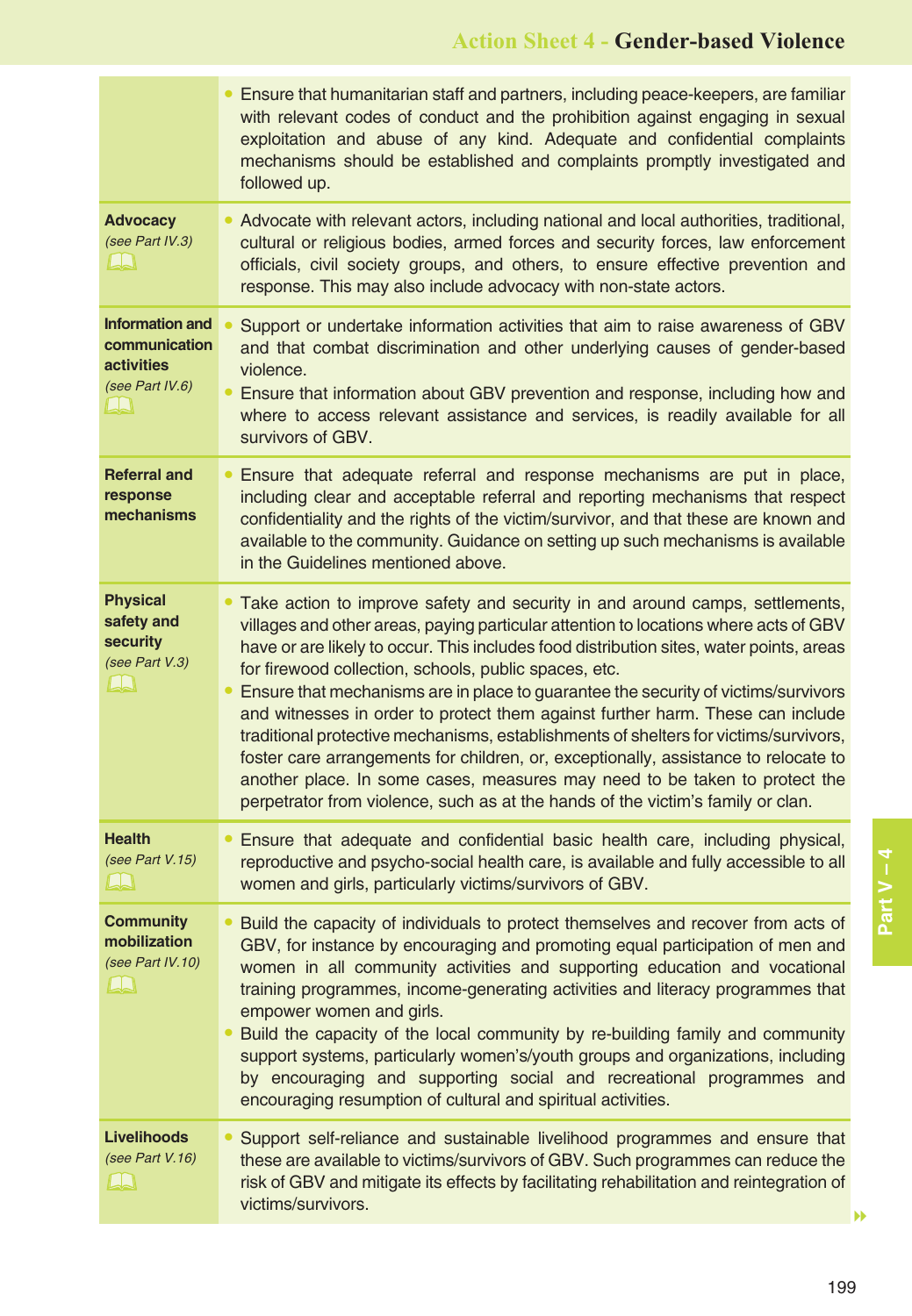|                                                                                        | Ensure that humanitarian staff and partners, including peace-keepers, are familiar<br>with relevant codes of conduct and the prohibition against engaging in sexual<br>exploitation and abuse of any kind. Adequate and confidential complaints<br>mechanisms should be established and complaints promptly investigated and<br>followed up.                                                                                                                                                                                                                                                                                                                                                                                                                                                                                                       |
|----------------------------------------------------------------------------------------|----------------------------------------------------------------------------------------------------------------------------------------------------------------------------------------------------------------------------------------------------------------------------------------------------------------------------------------------------------------------------------------------------------------------------------------------------------------------------------------------------------------------------------------------------------------------------------------------------------------------------------------------------------------------------------------------------------------------------------------------------------------------------------------------------------------------------------------------------|
| <b>Advocacy</b><br>(see Part IV.3)<br>LLI                                              | • Advocate with relevant actors, including national and local authorities, traditional,<br>cultural or religious bodies, armed forces and security forces, law enforcement<br>officials, civil society groups, and others, to ensure effective prevention and<br>response. This may also include advocacy with non-state actors.                                                                                                                                                                                                                                                                                                                                                                                                                                                                                                                   |
| <b>Information and</b><br>communication<br><b>activities</b><br>(see Part IV.6)<br>LLI | Support or undertake information activities that aim to raise awareness of GBV<br>and that combat discrimination and other underlying causes of gender-based<br>violence.<br>Ensure that information about GBV prevention and response, including how and<br>where to access relevant assistance and services, is readily available for all<br>survivors of GBV.                                                                                                                                                                                                                                                                                                                                                                                                                                                                                   |
| <b>Referral and</b><br>response<br>mechanisms                                          | Ensure that adequate referral and response mechanisms are put in place,<br>including clear and acceptable referral and reporting mechanisms that respect<br>confidentiality and the rights of the victim/survivor, and that these are known and<br>available to the community. Guidance on setting up such mechanisms is available<br>in the Guidelines mentioned above.                                                                                                                                                                                                                                                                                                                                                                                                                                                                           |
| <b>Physical</b><br>safety and<br>security<br>(see Part V.3)<br>$\Box$                  | • Take action to improve safety and security in and around camps, settlements,<br>villages and other areas, paying particular attention to locations where acts of GBV<br>have or are likely to occur. This includes food distribution sites, water points, areas<br>for firewood collection, schools, public spaces, etc.<br>Ensure that mechanisms are in place to guarantee the security of victims/survivors<br>and witnesses in order to protect them against further harm. These can include<br>traditional protective mechanisms, establishments of shelters for victims/survivors,<br>foster care arrangements for children, or, exceptionally, assistance to relocate to<br>another place. In some cases, measures may need to be taken to protect the<br>perpetrator from violence, such as at the hands of the victim's family or clan. |
| <b>Health</b><br>(see Part V.15)<br>LA                                                 | • Ensure that adequate and confidential basic health care, including physical,<br>reproductive and psycho-social health care, is available and fully accessible to all<br>women and girls, particularly victims/survivors of GBV.                                                                                                                                                                                                                                                                                                                                                                                                                                                                                                                                                                                                                  |
| <b>Community</b><br>mobilization<br>(see Part IV.10)<br>LN                             | • Build the capacity of individuals to protect themselves and recover from acts of<br>GBV, for instance by encouraging and promoting equal participation of men and<br>women in all community activities and supporting education and vocational<br>training programmes, income-generating activities and literacy programmes that<br>empower women and girls.<br>Build the capacity of the local community by re-building family and community<br>support systems, particularly women's/youth groups and organizations, including<br>by encouraging and supporting social and recreational programmes and<br>encouraging resumption of cultural and spiritual activities.                                                                                                                                                                         |
| <b>Livelihoods</b><br>(see Part V.16)<br>$\Box$                                        | Support self-reliance and sustainable livelihood programmes and ensure that<br>these are available to victims/survivors of GBV. Such programmes can reduce the<br>risk of GBV and mitigate its effects by facilitating rehabilitation and reintegration of<br>victims/survivors.<br>▶▶                                                                                                                                                                                                                                                                                                                                                                                                                                                                                                                                                             |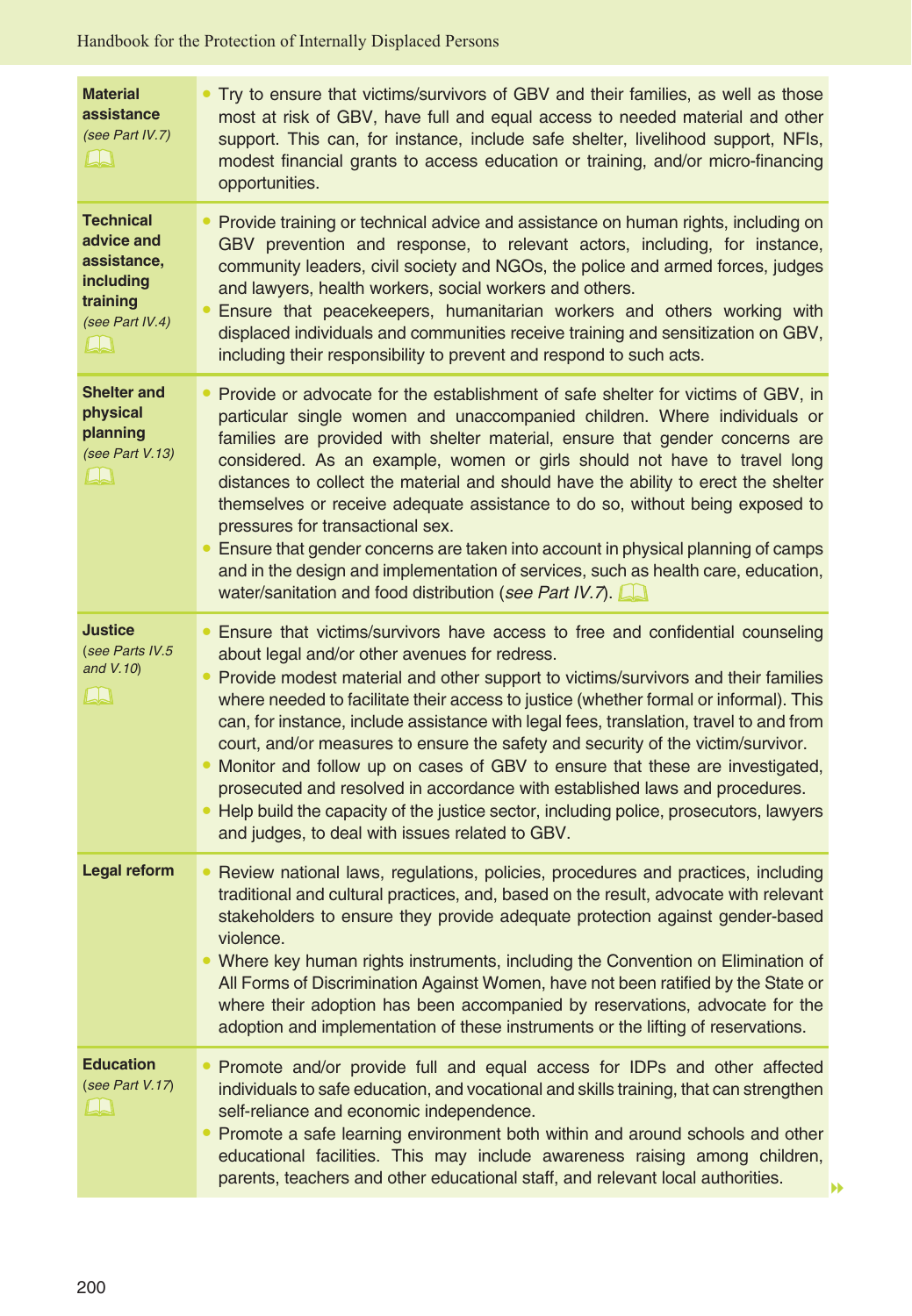| <b>Material</b><br>assistance<br>(see Part IV.7)<br>LA                                                     | Try to ensure that victims/survivors of GBV and their families, as well as those<br>most at risk of GBV, have full and equal access to needed material and other<br>support. This can, for instance, include safe shelter, livelihood support, NFIs,<br>modest financial grants to access education or training, and/or micro-financing<br>opportunities.                                                                                                                                                                                                                                                                                                                                                                                                                                                 |
|------------------------------------------------------------------------------------------------------------|-----------------------------------------------------------------------------------------------------------------------------------------------------------------------------------------------------------------------------------------------------------------------------------------------------------------------------------------------------------------------------------------------------------------------------------------------------------------------------------------------------------------------------------------------------------------------------------------------------------------------------------------------------------------------------------------------------------------------------------------------------------------------------------------------------------|
| <b>Technical</b><br>advice and<br>assistance,<br>including<br>training<br>(see Part IV.4)<br>$L_{\lambda}$ | • Provide training or technical advice and assistance on human rights, including on<br>GBV prevention and response, to relevant actors, including, for instance,<br>community leaders, civil society and NGOs, the police and armed forces, judges<br>and lawyers, health workers, social workers and others.<br>Ensure that peacekeepers, humanitarian workers and others working with<br>displaced individuals and communities receive training and sensitization on GBV,<br>including their responsibility to prevent and respond to such acts.                                                                                                                                                                                                                                                        |
| <b>Shelter and</b><br>physical<br>planning<br>(see Part V.13)<br>LN                                        | • Provide or advocate for the establishment of safe shelter for victims of GBV, in<br>particular single women and unaccompanied children. Where individuals or<br>families are provided with shelter material, ensure that gender concerns are<br>considered. As an example, women or girls should not have to travel long<br>distances to collect the material and should have the ability to erect the shelter<br>themselves or receive adequate assistance to do so, without being exposed to<br>pressures for transactional sex.<br>• Ensure that gender concerns are taken into account in physical planning of camps<br>and in the design and implementation of services, such as health care, education,<br>water/sanitation and food distribution (see Part IV.7).                                |
| <b>Justice</b><br>(see Parts IV.5<br>and V.10)<br>LN                                                       | • Ensure that victims/survivors have access to free and confidential counseling<br>about legal and/or other avenues for redress.<br>• Provide modest material and other support to victims/survivors and their families<br>where needed to facilitate their access to justice (whether formal or informal). This<br>can, for instance, include assistance with legal fees, translation, travel to and from<br>court, and/or measures to ensure the safety and security of the victim/survivor.<br>Monitor and follow up on cases of GBV to ensure that these are investigated,<br>prosecuted and resolved in accordance with established laws and procedures.<br>Help build the capacity of the justice sector, including police, prosecutors, lawyers<br>and judges, to deal with issues related to GBV. |
| Legal reform                                                                                               | • Review national laws, regulations, policies, procedures and practices, including<br>traditional and cultural practices, and, based on the result, advocate with relevant<br>stakeholders to ensure they provide adequate protection against gender-based<br>violence.<br>• Where key human rights instruments, including the Convention on Elimination of<br>All Forms of Discrimination Against Women, have not been ratified by the State or<br>where their adoption has been accompanied by reservations, advocate for the<br>adoption and implementation of these instruments or the lifting of reservations.                                                                                                                                                                                       |
| <b>Education</b><br>(see Part V.17)<br>لسلسا                                                               | • Promote and/or provide full and equal access for IDPs and other affected<br>individuals to safe education, and vocational and skills training, that can strengthen<br>self-reliance and economic independence.<br>Promote a safe learning environment both within and around schools and other<br>$\bullet$<br>educational facilities. This may include awareness raising among children,<br>parents, teachers and other educational staff, and relevant local authorities.                                                                                                                                                                                                                                                                                                                             |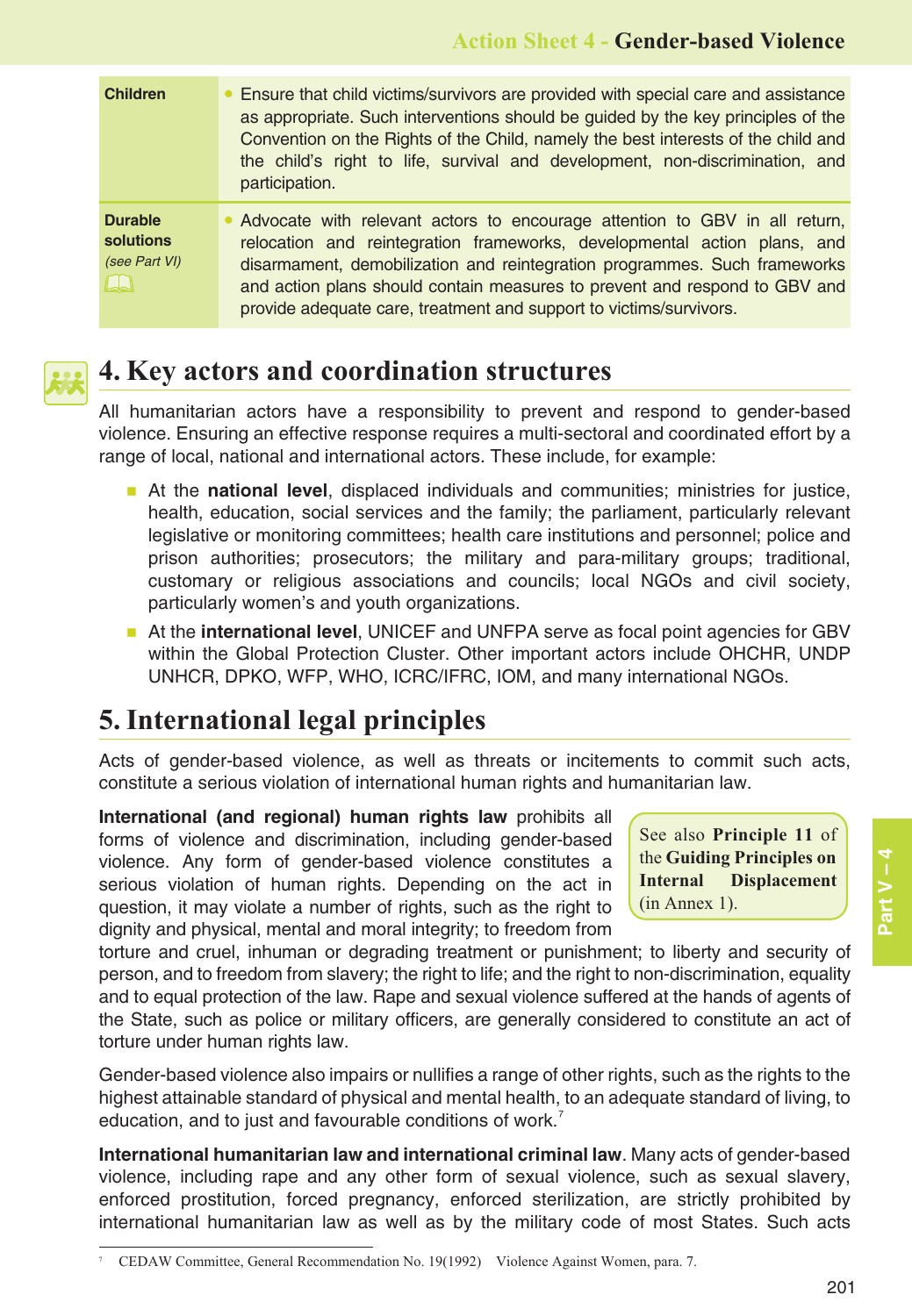| <b>Children</b>                                        | Ensure that child victims/survivors are provided with special care and assistance<br>as appropriate. Such interventions should be guided by the key principles of the<br>Convention on the Rights of the Child, namely the best interests of the child and<br>the child's right to life, survival and development, non-discrimination, and<br>participation.                              |
|--------------------------------------------------------|-------------------------------------------------------------------------------------------------------------------------------------------------------------------------------------------------------------------------------------------------------------------------------------------------------------------------------------------------------------------------------------------|
| <b>Durable</b><br>solutions<br>(see Part VI)<br>$\Box$ | • Advocate with relevant actors to encourage attention to GBV in all return,<br>relocation and reintegration frameworks, developmental action plans, and<br>disarmament, demobilization and reintegration programmes. Such frameworks<br>and action plans should contain measures to prevent and respond to GBV and<br>provide adequate care, treatment and support to victims/survivors. |



## **4. Key actors and coordination structures**

All humanitarian actors have a responsibility to prevent and respond to gender-based violence. Ensuring an effective response requires a multi-sectoral and coordinated effort by a range of local, national and international actors. These include, for example:

- **At the national level**, displaced individuals and communities; ministries for justice, health, education, social services and the family; the parliament, particularly relevant legislative or monitoring committees; health care institutions and personnel; police and prison authorities; prosecutors; the military and para-military groups; traditional, customary or religious associations and councils; local NGOs and civil society, particularly women's and youth organizations.
- **At the international level**, UNICEF and UNFPA serve as focal point agencies for GBV within the Global Protection Cluster. Other important actors include OHCHR, UNDP UNHCR, DPKO, WFP, WHO, ICRC/IFRC, IOM, and many international NGOs.

# **5. International legal principles**

Acts of gender-based violence, as well as threats or incitements to commit such acts, constitute a serious violation of international human rights and humanitarian law.

**International (and regional) human rights law** prohibits all forms of violence and discrimination, including gender-based violence. Any form of gender-based violence constitutes a serious violation of human rights. Depending on the act in question, it may violate a number of rights, such as the right to dignity and physical, mental and moral integrity; to freedom from

See also **Principle 11** of the **Guiding Principles on Internal Displacement** (in Annex 1).

torture and cruel, inhuman or degrading treatment or punishment; to liberty and security of person, and to freedom from slavery; the right to life; and the right to non-discrimination, equality and to equal protection of the law. Rape and sexual violence suffered at the hands of agents of the State, such as police or military officers, are generally considered to constitute an act of torture under human rights law.

Gender-based violence also impairs or nullifies a range of other rights, such as the rights to the highest attainable standard of physical and mental health, to an adequate standard of living, to education, and to just and favourable conditions of work.<sup>7</sup>

**International humanitarian law and international criminal law**. Many acts of gender-based violence, including rape and any other form of sexual violence, such as sexual slavery, enforced prostitution, forced pregnancy, enforced sterilization, are strictly prohibited by international humanitarian law as well as by the military code of most States. Such acts

<sup>7</sup> CEDAW Committee, General Recommendation No. 19(1992) Violence Against Women, para. 7.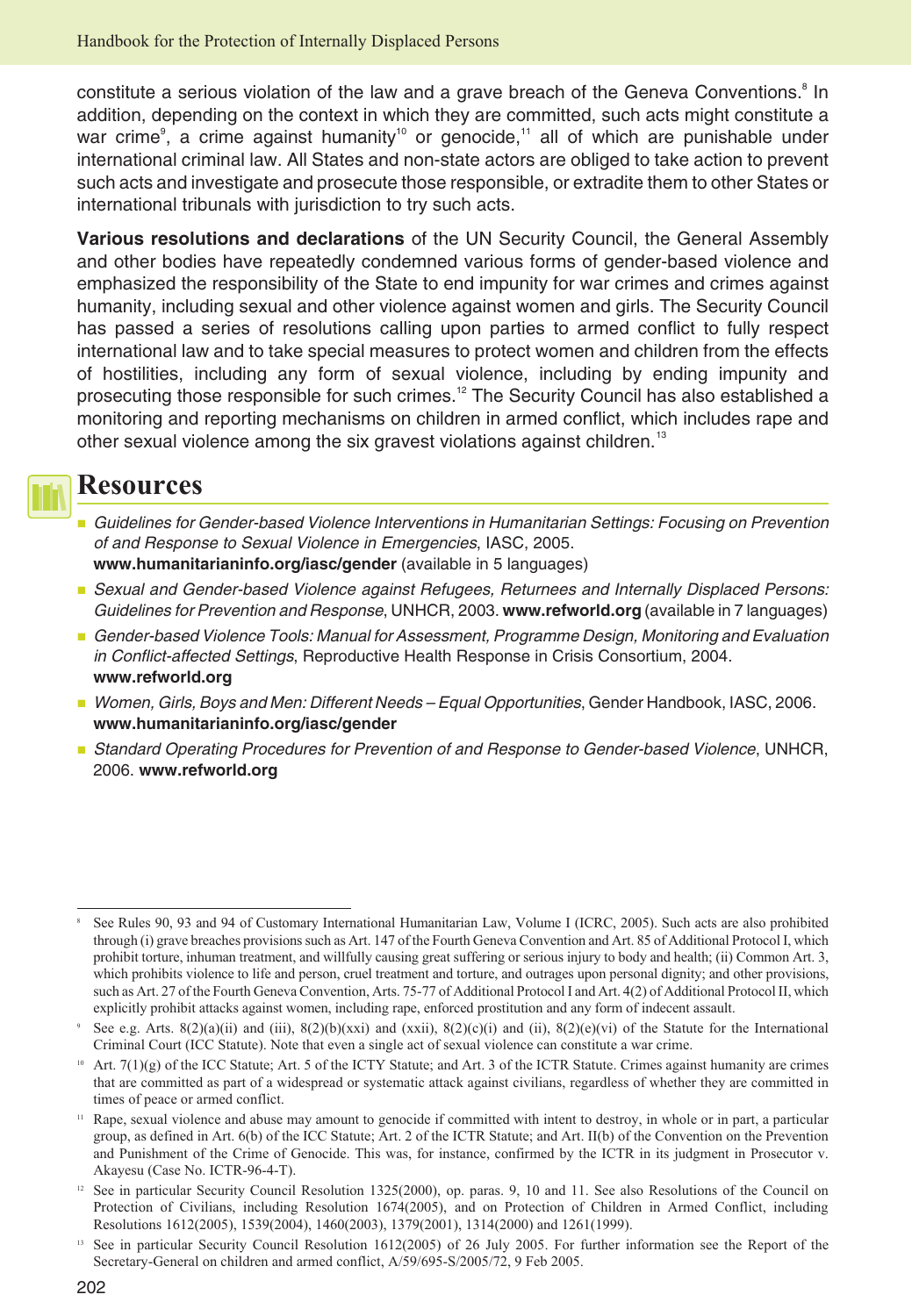constitute a serious violation of the law and a grave breach of the Geneva Conventions.<sup>8</sup> In addition, depending on the context in which they are committed, such acts might constitute a war crime<sup>9</sup>, a crime against humanity<sup>10</sup> or genocide,<sup>11</sup> all of which are punishable under international criminal law. All States and non-state actors are obliged to take action to prevent such acts and investigate and prosecute those responsible, or extradite them to other States or international tribunals with jurisdiction to try such acts.

**Various resolutions and declarations** of the UN Security Council, the General Assembly and other bodies have repeatedly condemned various forms of gender-based violence and emphasized the responsibility of the State to end impunity for war crimes and crimes against humanity, including sexual and other violence against women and girls. The Security Council has passed a series of resolutions calling upon parties to armed conflict to fully respect international law and to take special measures to protect women and children from the effects of hostilities, including any form of sexual violence, including by ending impunity and prosecuting those responsible for such crimes.<sup>12</sup> The Security Council has also established a monitoring and reporting mechanisms on children in armed conflict, which includes rape and other sexual violence among the six gravest violations against children.<sup>13</sup>



### **Resources**

- - Guidelines for Gender-based Violence Interventions in Humanitarian Settings: Focusing on Prevention of and Response to Sexual Violence in Emergencies, IASC, 2005. **[www.humanitarianinfo.org/iasc/gender](http://www.humanitarianinfo.org/iasc/gender)** (available in 5 languages)
- **Bexual and Gender-based Violence against Refugees, Returnees and Internally Displaced Persons:** Guidelines for Prevention and Response, UNHCR, 2003. **[www.refworld.org](http://www.refworld.org)** (available in 7 languages)
- **Gender-based Violence Tools: Manual for Assessment, Programme Design, Monitoring and Evaluation** in Conflict-affected Settings, Reproductive Health Response in Crisis Consortium, 2004. **[www.refworld.org](http://www.refworld.org)**
- **Women, Girls, Boys and Men: Different Needs Equal Opportunities, Gender Handbook, IASC, 2006. [www.humanitarianinfo.org/iasc/gender](http://www.humanitarianinfo.org/iasc/gender)**
- **B** Standard Operating Procedures for Prevention of and Response to Gender-based Violence, UNHCR, 2006. **[www.refworld.org](http://www.refworld.org)**

<sup>8</sup> See Rules 90, 93 and 94 of Customary International Humanitarian Law, Volume I (ICRC, 2005). Such acts are also prohibited through (i) grave breaches provisions such as Art. 147 of the Fourth Geneva Convention and Art. 85 of Additional Protocol I, which prohibit torture, inhuman treatment, and willfully causing great suffering or serious injury to body and health; (ii) Common Art. 3, which prohibits violence to life and person, cruel treatment and torture, and outrages upon personal dignity; and other provisions, such as Art. 27 of the Fourth Geneva Convention, Arts. 75-77 of Additional Protocol I and Art. 4(2) of Additional Protocol II, which explicitly prohibit attacks against women, including rape, enforced prostitution and any form of indecent assault.

See e.g. Arts. 8(2)(a)(ii) and (iii), 8(2)(b)(xxi) and (xxii), 8(2)(c)(i) and (ii), 8(2)(e)(vi) of the Statute for the International Criminal Court (ICC Statute). Note that even a single act of sexual violence can constitute a war crime.

Art.  $7(1)(g)$  of the ICC Statute; Art. 5 of the ICTY Statute; and Art. 3 of the ICTR Statute. Crimes against humanity are crimes that are committed as part of a widespread or systematic attack against civilians, regardless of whether they are committed in times of peace or armed conflict.

Rape, sexual violence and abuse may amount to genocide if committed with intent to destroy, in whole or in part, a particular group, as defined in Art. 6(b) of the ICC Statute; Art. 2 of the ICTR Statute; and Art. II(b) of the Convention on the Prevention and Punishment of the Crime of Genocide. This was, for instance, confirmed by the ICTR in its judgment in Prosecutor v. Akayesu (Case No. ICTR-96-4-T).

<sup>&</sup>lt;sup>12</sup> See in particular Security Council Resolution 1325(2000), op. paras. 9, 10 and 11. See also Resolutions of the Council on Protection of Civilians, including Resolution 1674(2005), and on Protection of Children in Armed Conflict, including Resolutions 1612(2005), 1539(2004), 1460(2003), 1379(2001), 1314(2000) and 1261(1999).

<sup>13</sup> See in particular Security Council Resolution 1612(2005) of 26 July 2005. For further information see the Report of the Secretary-General on children and armed conflict, A/59/695-S/2005/72, 9 Feb 2005.